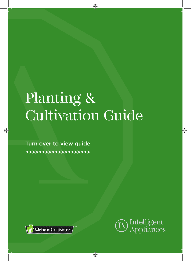## Planting & Cultivation Guide

 $\bigcirc$ 

 $\bigoplus$ 

Turn over to view guide >>>>>>>>>>>>>>>>>>>>

◈





⊕